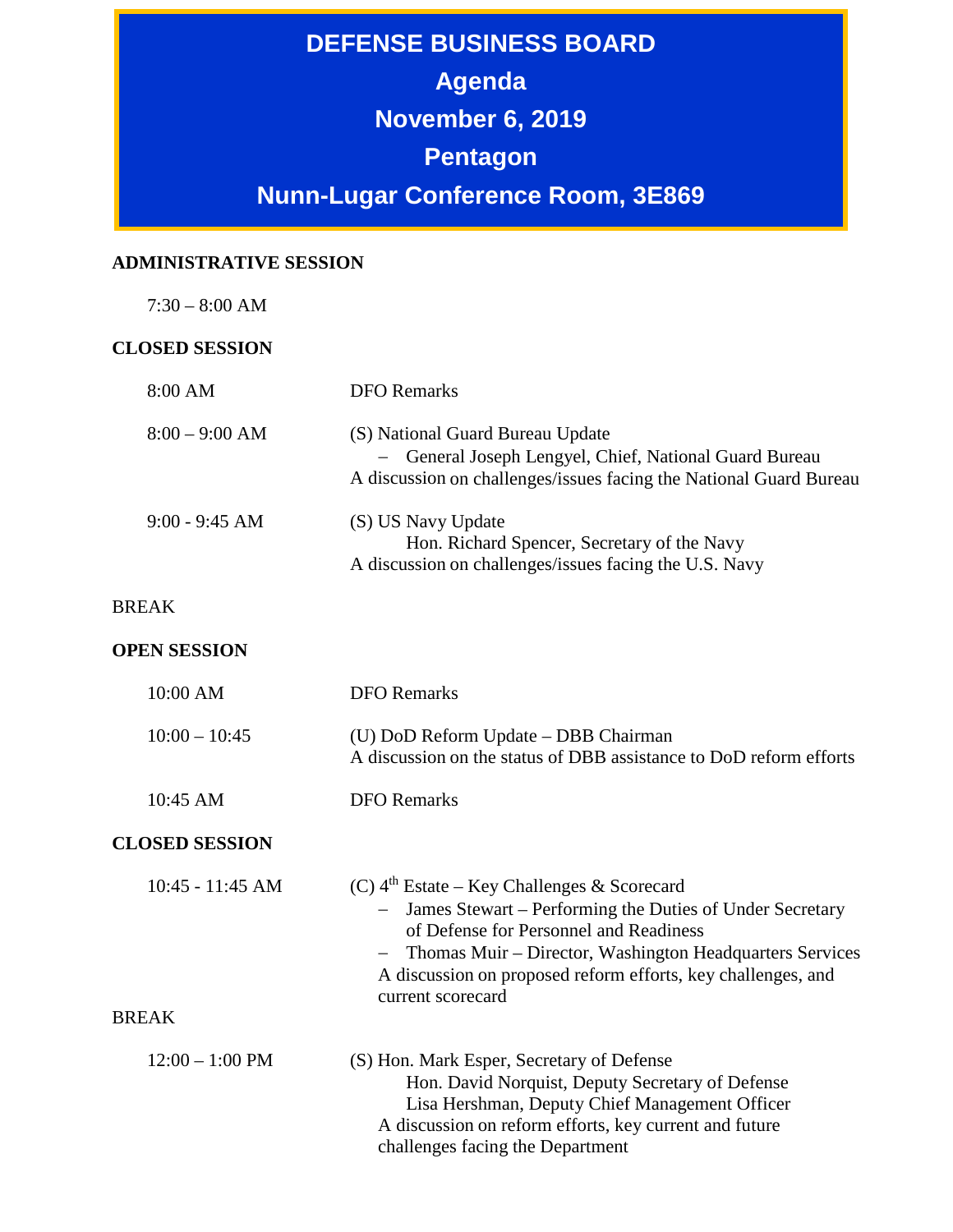**DEFENSE BUSINESS BOARD Agenda November 6, 2019 Pentagon Nunn-Lugar Conference Room, 3E869**

## **ADMINISTRATIVE SESSION**

7:30 – 8:00 AM

## **CLOSED SESSION**

| 8:00 AM               | <b>DFO</b> Remarks                                                                                                                                                                                                                                                                                             |
|-----------------------|----------------------------------------------------------------------------------------------------------------------------------------------------------------------------------------------------------------------------------------------------------------------------------------------------------------|
| $8:00 - 9:00$ AM      | (S) National Guard Bureau Update<br>- General Joseph Lengyel, Chief, National Guard Bureau<br>A discussion on challenges/issues facing the National Guard Bureau                                                                                                                                               |
| $9:00 - 9:45 AM$      | (S) US Navy Update<br>Hon. Richard Spencer, Secretary of the Navy<br>A discussion on challenges/issues facing the U.S. Navy                                                                                                                                                                                    |
| <b>BREAK</b>          |                                                                                                                                                                                                                                                                                                                |
| <b>OPEN SESSION</b>   |                                                                                                                                                                                                                                                                                                                |
| 10:00 AM              | <b>DFO</b> Remarks                                                                                                                                                                                                                                                                                             |
| $10:00 - 10:45$       | (U) DoD Reform Update - DBB Chairman<br>A discussion on the status of DBB assistance to DoD reform efforts                                                                                                                                                                                                     |
| 10:45 AM              | <b>DFO</b> Remarks                                                                                                                                                                                                                                                                                             |
| <b>CLOSED SESSION</b> |                                                                                                                                                                                                                                                                                                                |
| $10:45 - 11:45$ AM    | (C) $4^{\text{th}}$ Estate – Key Challenges & Scorecard<br>James Stewart - Performing the Duties of Under Secretary<br>of Defense for Personnel and Readiness<br>Thomas Muir - Director, Washington Headquarters Services<br>A discussion on proposed reform efforts, key challenges, and<br>current scorecard |
| <b>BREAK</b>          |                                                                                                                                                                                                                                                                                                                |
| $12:00 - 1:00$ PM     | (S) Hon. Mark Esper, Secretary of Defense<br>Hon. David Norquist, Deputy Secretary of Defense<br>Lisa Hershman, Deputy Chief Management Officer<br>A discussion on reform efforts, key current and future<br>challenges facing the Department                                                                  |